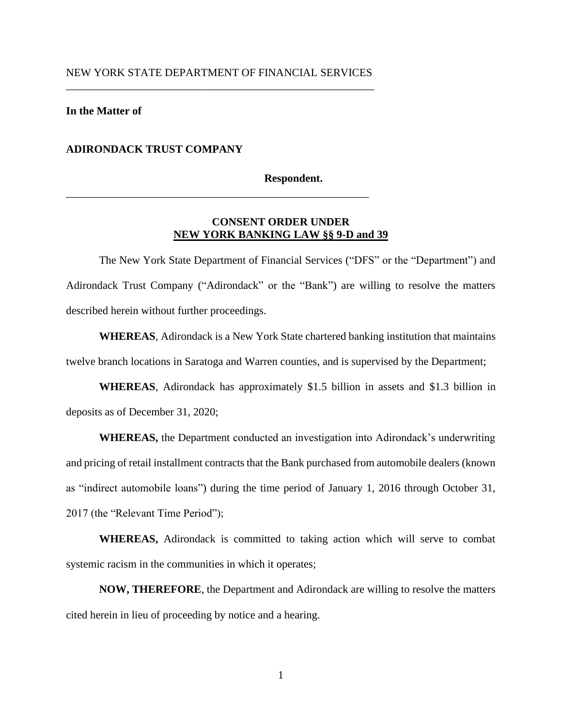\_\_\_\_\_\_\_\_\_\_\_\_\_\_\_\_\_\_\_\_\_\_\_\_\_\_\_\_\_\_\_\_\_\_\_\_\_\_\_\_\_\_\_\_\_\_\_\_\_\_\_\_\_\_\_

## **In the Matter of**

## **ADIRONDACK TRUST COMPANY**

### **Respondent.**

# **CONSENT ORDER UNDER NEW YORK BANKING LAW §§ 9-D and 39**

The New York State Department of Financial Services ("DFS" or the "Department") and Adirondack Trust Company ("Adirondack" or the "Bank") are willing to resolve the matters described herein without further proceedings.

**WHEREAS**, Adirondack is a New York State chartered banking institution that maintains twelve branch locations in Saratoga and Warren counties, and is supervised by the Department;

**WHEREAS**, Adirondack has approximately \$1.5 billion in assets and \$1.3 billion in deposits as of December 31, 2020;

**WHEREAS,** the Department conducted an investigation into Adirondack's underwriting and pricing of retail installment contracts that the Bank purchased from automobile dealers (known as "indirect automobile loans") during the time period of January 1, 2016 through October 31, 2017 (the "Relevant Time Period");

**WHEREAS,** Adirondack is committed to taking action which will serve to combat systemic racism in the communities in which it operates;

**NOW, THEREFORE**, the Department and Adirondack are willing to resolve the matters cited herein in lieu of proceeding by notice and a hearing.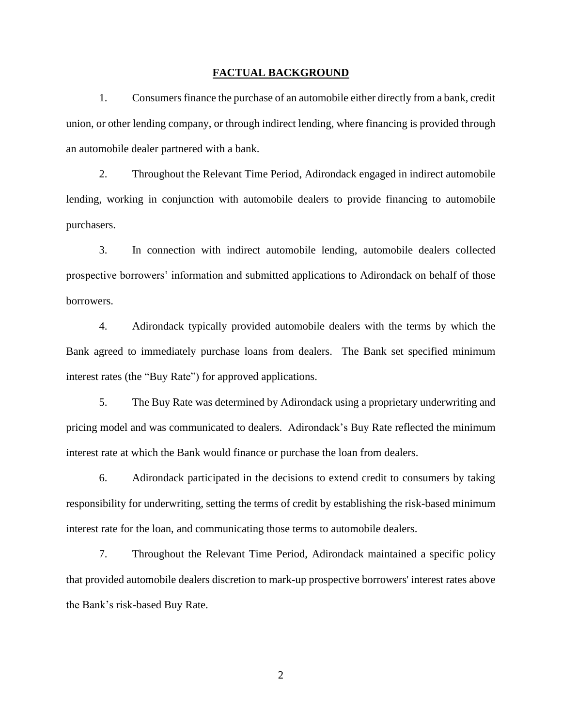#### **FACTUAL BACKGROUND**

1. Consumers finance the purchase of an automobile either directly from a bank, credit union, or other lending company, or through indirect lending, where financing is provided through an automobile dealer partnered with a bank.

2. Throughout the Relevant Time Period, Adirondack engaged in indirect automobile lending, working in conjunction with automobile dealers to provide financing to automobile purchasers.

3. In connection with indirect automobile lending, automobile dealers collected prospective borrowers' information and submitted applications to Adirondack on behalf of those borrowers.

4. Adirondack typically provided automobile dealers with the terms by which the Bank agreed to immediately purchase loans from dealers. The Bank set specified minimum interest rates (the "Buy Rate") for approved applications.

5. The Buy Rate was determined by Adirondack using a proprietary underwriting and pricing model and was communicated to dealers. Adirondack's Buy Rate reflected the minimum interest rate at which the Bank would finance or purchase the loan from dealers.

6. Adirondack participated in the decisions to extend credit to consumers by taking responsibility for underwriting, setting the terms of credit by establishing the risk-based minimum interest rate for the loan, and communicating those terms to automobile dealers.

7. Throughout the Relevant Time Period, Adirondack maintained a specific policy that provided automobile dealers discretion to mark-up prospective borrowers' interest rates above the Bank's risk-based Buy Rate.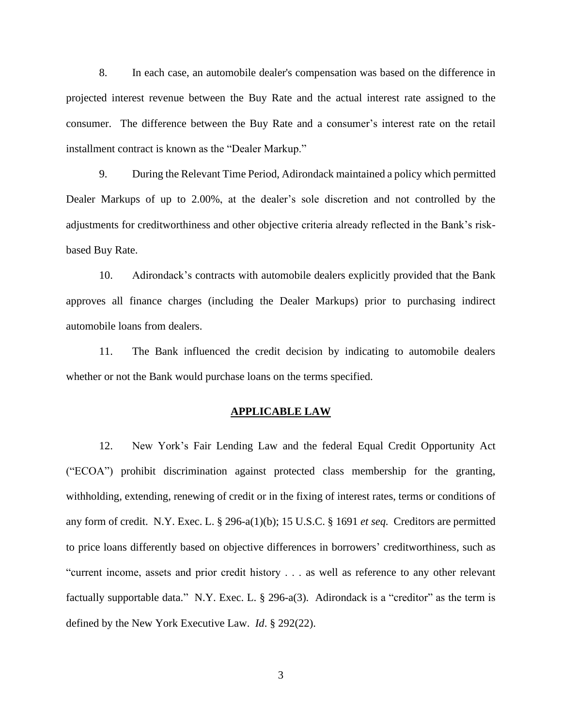8. In each case, an automobile dealer's compensation was based on the difference in projected interest revenue between the Buy Rate and the actual interest rate assigned to the consumer. The difference between the Buy Rate and a consumer's interest rate on the retail installment contract is known as the "Dealer Markup."

9. During the Relevant Time Period, Adirondack maintained a policy which permitted Dealer Markups of up to 2.00%, at the dealer's sole discretion and not controlled by the adjustments for creditworthiness and other objective criteria already reflected in the Bank's riskbased Buy Rate.

10. Adirondack's contracts with automobile dealers explicitly provided that the Bank approves all finance charges (including the Dealer Markups) prior to purchasing indirect automobile loans from dealers.

11. The Bank influenced the credit decision by indicating to automobile dealers whether or not the Bank would purchase loans on the terms specified.

### **APPLICABLE LAW**

12. New York's Fair Lending Law and the federal Equal Credit Opportunity Act ("ECOA") prohibit discrimination against protected class membership for the granting, withholding, extending, renewing of credit or in the fixing of interest rates, terms or conditions of any form of credit. N.Y. Exec. L. § 296-a(1)(b); 15 U.S.C. § 1691 *et seq.* Creditors are permitted to price loans differently based on objective differences in borrowers' creditworthiness, such as "current income, assets and prior credit history . . . as well as reference to any other relevant factually supportable data." N.Y. Exec. L. § 296-a(3). Adirondack is a "creditor" as the term is defined by the New York Executive Law. *Id*. § 292(22).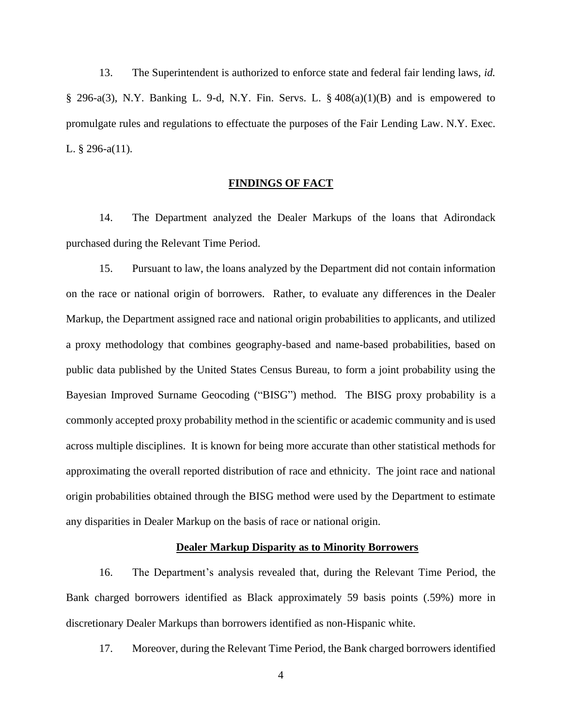13. The Superintendent is authorized to enforce state and federal fair lending laws, *id.*   $\S$  296-a(3), N.Y. Banking L. 9-d, N.Y. Fin. Servs. L.  $\S$  408(a)(1)(B) and is empowered to promulgate rules and regulations to effectuate the purposes of the Fair Lending Law. N.Y. Exec. L. § 296-a(11).

# **FINDINGS OF FACT**

14. The Department analyzed the Dealer Markups of the loans that Adirondack purchased during the Relevant Time Period.

15. Pursuant to law, the loans analyzed by the Department did not contain information on the race or national origin of borrowers. Rather, to evaluate any differences in the Dealer Markup, the Department assigned race and national origin probabilities to applicants, and utilized a proxy methodology that combines geography-based and name-based probabilities, based on public data published by the United States Census Bureau, to form a joint probability using the Bayesian Improved Surname Geocoding ("BISG") method. The BISG proxy probability is a commonly accepted proxy probability method in the scientific or academic community and is used across multiple disciplines. It is known for being more accurate than other statistical methods for approximating the overall reported distribution of race and ethnicity. The joint race and national origin probabilities obtained through the BISG method were used by the Department to estimate any disparities in Dealer Markup on the basis of race or national origin.

### **Dealer Markup Disparity as to Minority Borrowers**

16. The Department's analysis revealed that, during the Relevant Time Period, the Bank charged borrowers identified as Black approximately 59 basis points (.59%) more in discretionary Dealer Markups than borrowers identified as non-Hispanic white.

17. Moreover, during the Relevant Time Period, the Bank charged borrowers identified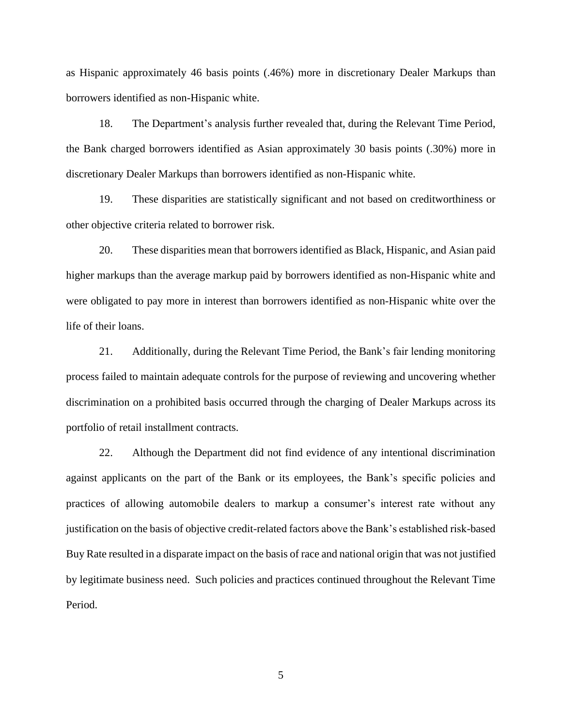as Hispanic approximately 46 basis points (.46%) more in discretionary Dealer Markups than borrowers identified as non-Hispanic white.

18. The Department's analysis further revealed that, during the Relevant Time Period, the Bank charged borrowers identified as Asian approximately 30 basis points (.30%) more in discretionary Dealer Markups than borrowers identified as non-Hispanic white.

19. These disparities are statistically significant and not based on creditworthiness or other objective criteria related to borrower risk.

20. These disparities mean that borrowers identified as Black, Hispanic, and Asian paid higher markups than the average markup paid by borrowers identified as non-Hispanic white and were obligated to pay more in interest than borrowers identified as non-Hispanic white over the life of their loans.

21. Additionally, during the Relevant Time Period, the Bank's fair lending monitoring process failed to maintain adequate controls for the purpose of reviewing and uncovering whether discrimination on a prohibited basis occurred through the charging of Dealer Markups across its portfolio of retail installment contracts.

22. Although the Department did not find evidence of any intentional discrimination against applicants on the part of the Bank or its employees, the Bank's specific policies and practices of allowing automobile dealers to markup a consumer's interest rate without any justification on the basis of objective credit-related factors above the Bank's established risk-based Buy Rate resulted in a disparate impact on the basis of race and national origin that was not justified by legitimate business need. Such policies and practices continued throughout the Relevant Time Period.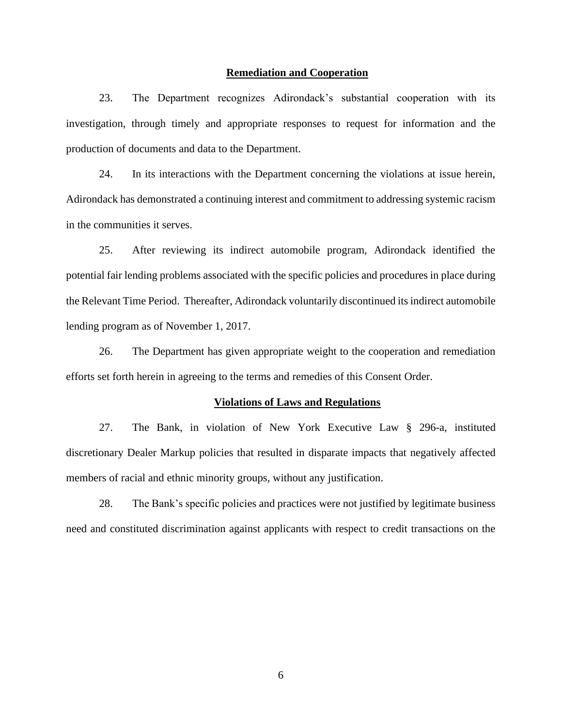## **Remediation and Cooperation**

23. The Department recognizes Adirondack's substantial cooperation with its investigation, through timely and appropriate responses to request for information and the production of documents and data to the Department.

24. In its interactions with the Department concerning the violations at issue herein, Adirondack has demonstrated a continuing interest and commitment to addressing systemic racism in the communities it serves.

25. After reviewing its indirect automobile program, Adirondack identified the potential fair lending problems associated with the specific policies and procedures in place during the Relevant Time Period. Thereafter, Adirondack voluntarily discontinued its indirect automobile lending program as of November 1, 2017.

26. The Department has given appropriate weight to the cooperation and remediation efforts set forth herein in agreeing to the terms and remedies of this Consent Order.

#### **Violations of Laws and Regulations**

27. The Bank, in violation of New York Executive Law § 296-a, instituted discretionary Dealer Markup policies that resulted in disparate impacts that negatively affected members of racial and ethnic minority groups, without any justification.

28. The Bank's specific policies and practices were not justified by legitimate business need and constituted discrimination against applicants with respect to credit transactions on the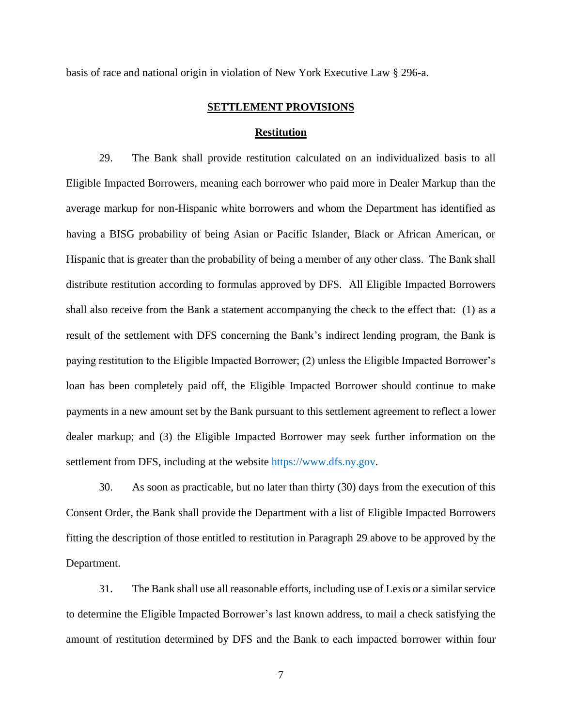basis of race and national origin in violation of New York Executive Law § 296-a.

### **SETTLEMENT PROVISIONS**

### **Restitution**

29. The Bank shall provide restitution calculated on an individualized basis to all Eligible Impacted Borrowers, meaning each borrower who paid more in Dealer Markup than the average markup for non-Hispanic white borrowers and whom the Department has identified as having a BISG probability of being Asian or Pacific Islander, Black or African American, or Hispanic that is greater than the probability of being a member of any other class. The Bank shall distribute restitution according to formulas approved by DFS. All Eligible Impacted Borrowers shall also receive from the Bank a statement accompanying the check to the effect that: (1) as a result of the settlement with DFS concerning the Bank's indirect lending program, the Bank is paying restitution to the Eligible Impacted Borrower; (2) unless the Eligible Impacted Borrower's loan has been completely paid off, the Eligible Impacted Borrower should continue to make payments in a new amount set by the Bank pursuant to this settlement agreement to reflect a lower dealer markup; and (3) the Eligible Impacted Borrower may seek further information on the settlement from DFS, including at the website [https://www.dfs.ny.gov.](https://www.dfs.ny.gov/)

30. As soon as practicable, but no later than thirty (30) days from the execution of this Consent Order, the Bank shall provide the Department with a list of Eligible Impacted Borrowers fitting the description of those entitled to restitution in Paragraph 29 above to be approved by the Department.

31. The Bank shall use all reasonable efforts, including use of Lexis or a similar service to determine the Eligible Impacted Borrower's last known address, to mail a check satisfying the amount of restitution determined by DFS and the Bank to each impacted borrower within four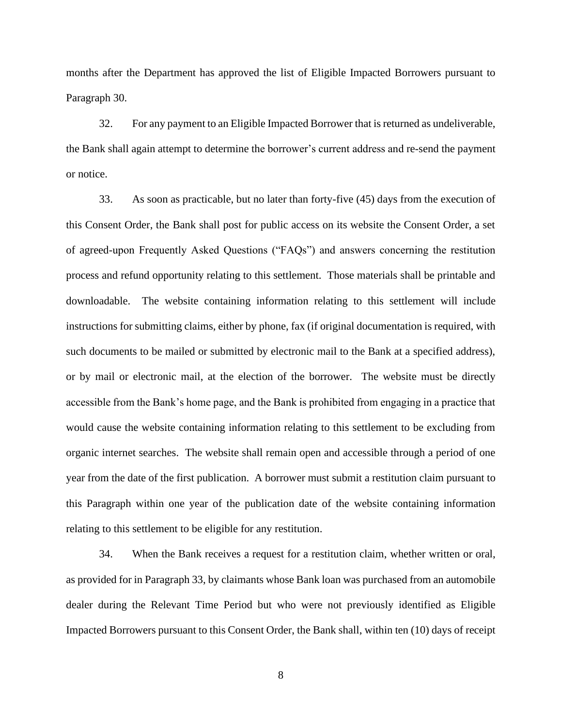months after the Department has approved the list of Eligible Impacted Borrowers pursuant to Paragraph 30.

32. For any payment to an Eligible Impacted Borrower that is returned as undeliverable, the Bank shall again attempt to determine the borrower's current address and re-send the payment or notice.

33. As soon as practicable, but no later than forty-five (45) days from the execution of this Consent Order, the Bank shall post for public access on its website the Consent Order, a set of agreed-upon Frequently Asked Questions ("FAQs") and answers concerning the restitution process and refund opportunity relating to this settlement. Those materials shall be printable and downloadable. The website containing information relating to this settlement will include instructions for submitting claims, either by phone, fax (if original documentation is required, with such documents to be mailed or submitted by electronic mail to the Bank at a specified address), or by mail or electronic mail, at the election of the borrower. The website must be directly accessible from the Bank's home page, and the Bank is prohibited from engaging in a practice that would cause the website containing information relating to this settlement to be excluding from organic internet searches. The website shall remain open and accessible through a period of one year from the date of the first publication. A borrower must submit a restitution claim pursuant to this Paragraph within one year of the publication date of the website containing information relating to this settlement to be eligible for any restitution.

34. When the Bank receives a request for a restitution claim, whether written or oral, as provided for in Paragraph 33, by claimants whose Bank loan was purchased from an automobile dealer during the Relevant Time Period but who were not previously identified as Eligible Impacted Borrowers pursuant to this Consent Order, the Bank shall, within ten (10) days of receipt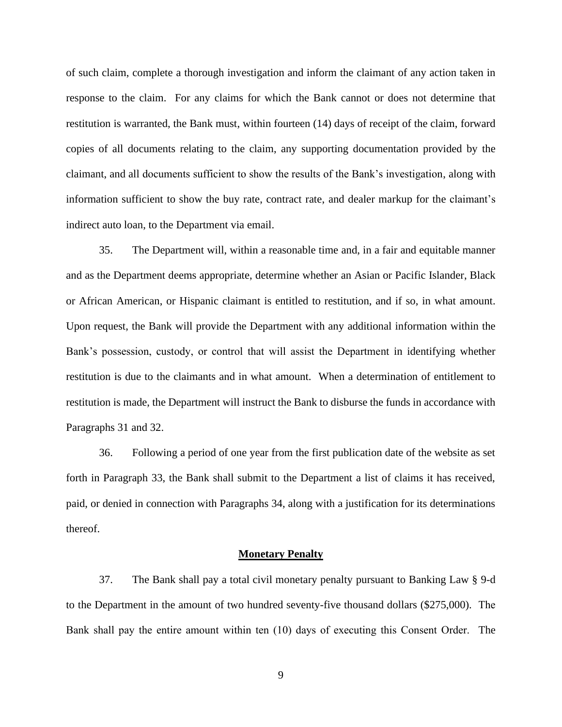of such claim, complete a thorough investigation and inform the claimant of any action taken in response to the claim. For any claims for which the Bank cannot or does not determine that restitution is warranted, the Bank must, within fourteen (14) days of receipt of the claim, forward copies of all documents relating to the claim, any supporting documentation provided by the claimant, and all documents sufficient to show the results of the Bank's investigation, along with information sufficient to show the buy rate, contract rate, and dealer markup for the claimant's indirect auto loan, to the Department via email.

35. The Department will, within a reasonable time and, in a fair and equitable manner and as the Department deems appropriate, determine whether an Asian or Pacific Islander, Black or African American, or Hispanic claimant is entitled to restitution, and if so, in what amount. Upon request, the Bank will provide the Department with any additional information within the Bank's possession, custody, or control that will assist the Department in identifying whether restitution is due to the claimants and in what amount. When a determination of entitlement to restitution is made, the Department will instruct the Bank to disburse the funds in accordance with Paragraphs 31 and 32.

36. Following a period of one year from the first publication date of the website as set forth in Paragraph 33, the Bank shall submit to the Department a list of claims it has received, paid, or denied in connection with Paragraphs 34, along with a justification for its determinations thereof.

#### **Monetary Penalty**

37. The Bank shall pay a total civil monetary penalty pursuant to Banking Law § 9-d to the Department in the amount of two hundred seventy-five thousand dollars (\$275,000). The Bank shall pay the entire amount within ten (10) days of executing this Consent Order. The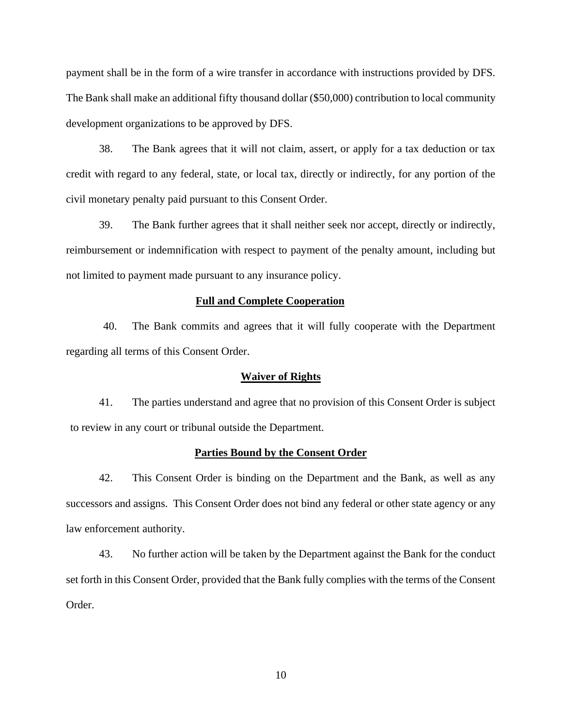payment shall be in the form of a wire transfer in accordance with instructions provided by DFS. The Bank shall make an additional fifty thousand dollar (\$50,000) contribution to local community development organizations to be approved by DFS.

38. The Bank agrees that it will not claim, assert, or apply for a tax deduction or tax credit with regard to any federal, state, or local tax, directly or indirectly, for any portion of the civil monetary penalty paid pursuant to this Consent Order.

39. The Bank further agrees that it shall neither seek nor accept, directly or indirectly, reimbursement or indemnification with respect to payment of the penalty amount, including but not limited to payment made pursuant to any insurance policy.

## **Full and Complete Cooperation**

40. The Bank commits and agrees that it will fully cooperate with the Department regarding all terms of this Consent Order.

### **Waiver of Rights**

41. The parties understand and agree that no provision of this Consent Order is subject to review in any court or tribunal outside the Department.

#### **Parties Bound by the Consent Order**

42. This Consent Order is binding on the Department and the Bank, as well as any successors and assigns. This Consent Order does not bind any federal or other state agency or any law enforcement authority.

43. No further action will be taken by the Department against the Bank for the conduct set forth in this Consent Order, provided that the Bank fully complies with the terms of the Consent Order.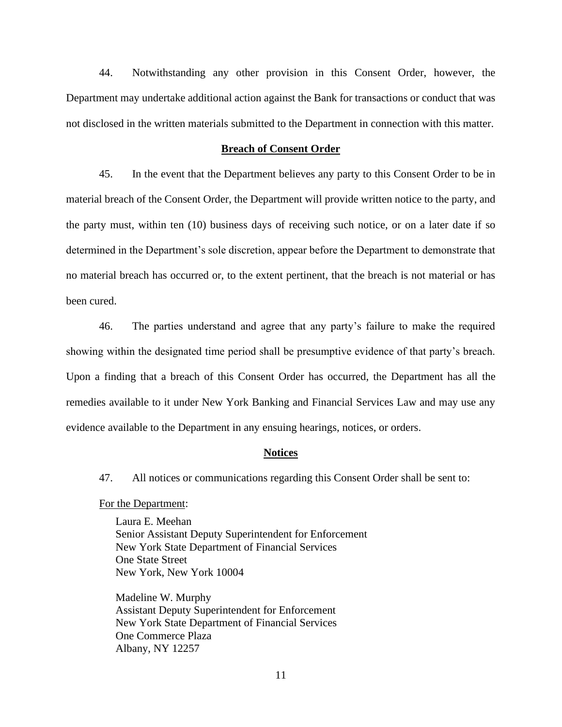44. Notwithstanding any other provision in this Consent Order, however, the Department may undertake additional action against the Bank for transactions or conduct that was not disclosed in the written materials submitted to the Department in connection with this matter.

#### **Breach of Consent Order**

45. In the event that the Department believes any party to this Consent Order to be in material breach of the Consent Order, the Department will provide written notice to the party, and the party must, within ten (10) business days of receiving such notice, or on a later date if so determined in the Department's sole discretion, appear before the Department to demonstrate that no material breach has occurred or, to the extent pertinent, that the breach is not material or has been cured.

46. The parties understand and agree that any party's failure to make the required showing within the designated time period shall be presumptive evidence of that party's breach. Upon a finding that a breach of this Consent Order has occurred, the Department has all the remedies available to it under New York Banking and Financial Services Law and may use any evidence available to the Department in any ensuing hearings, notices, or orders.

## **Notices**

47. All notices or communications regarding this Consent Order shall be sent to:

For the Department:

Laura E. Meehan Senior Assistant Deputy Superintendent for Enforcement New York State Department of Financial Services One State Street New York, New York 10004

Madeline W. Murphy Assistant Deputy Superintendent for Enforcement New York State Department of Financial Services One Commerce Plaza Albany, NY 12257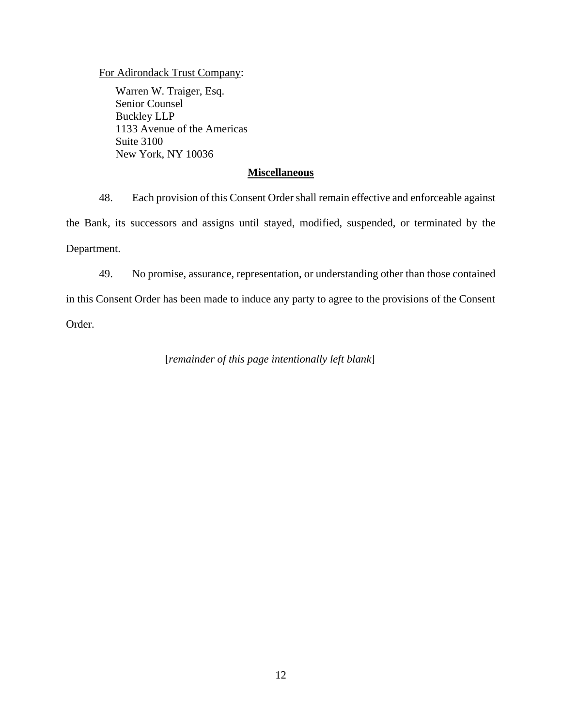For Adirondack Trust Company:

Warren W. Traiger, Esq. Senior Counsel Buckley LLP 1133 Avenue of the Americas Suite 3100 New York, NY 10036

# **Miscellaneous**

48. Each provision of this Consent Order shall remain effective and enforceable against the Bank, its successors and assigns until stayed, modified, suspended, or terminated by the Department.

49. No promise, assurance, representation, or understanding other than those contained in this Consent Order has been made to induce any party to agree to the provisions of the Consent Order.

[*remainder of this page intentionally left blank*]